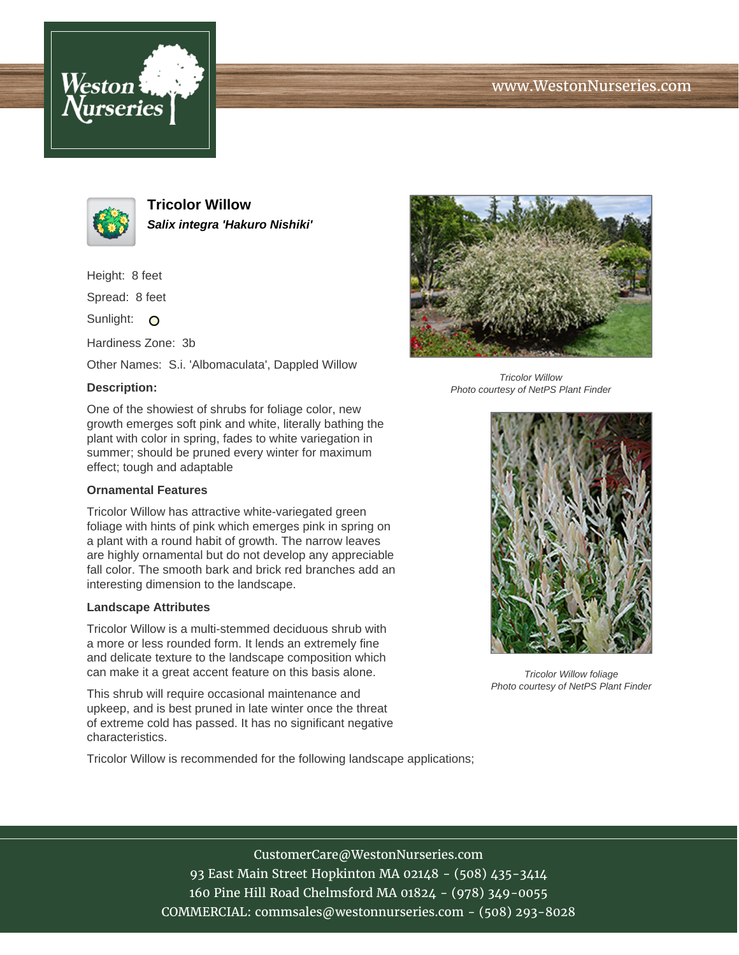





**Tricolor Willow Salix integra 'Hakuro Nishiki'**

Height: 8 feet

Spread: 8 feet

Sunlight: O

Hardiness Zone: 3b

Other Names: S.i. 'Albomaculata', Dappled Willow

## **Description:**

One of the showiest of shrubs for foliage color, new growth emerges soft pink and white, literally bathing the plant with color in spring, fades to white variegation in summer; should be pruned every winter for maximum effect; tough and adaptable

### **Ornamental Features**

Tricolor Willow has attractive white-variegated green foliage with hints of pink which emerges pink in spring on a plant with a round habit of growth. The narrow leaves are highly ornamental but do not develop any appreciable fall color. The smooth bark and brick red branches add an interesting dimension to the landscape.

#### **Landscape Attributes**

Tricolor Willow is a multi-stemmed deciduous shrub with a more or less rounded form. It lends an extremely fine and delicate texture to the landscape composition which can make it a great accent feature on this basis alone.

This shrub will require occasional maintenance and upkeep, and is best pruned in late winter once the threat of extreme cold has passed. It has no significant negative characteristics.

Tricolor Willow is recommended for the following landscape applications;



Tricolor Willow Photo courtesy of NetPS Plant Finder



Tricolor Willow foliage Photo courtesy of NetPS Plant Finder

# CustomerCare@WestonNurseries.com

93 East Main Street Hopkinton MA 02148 - (508) 435-3414 160 Pine Hill Road Chelmsford MA 01824 - (978) 349-0055 COMMERCIAL: commsales@westonnurseries.com - (508) 293-8028